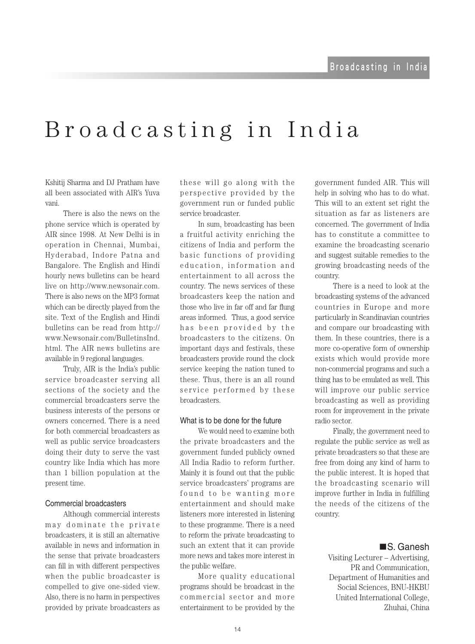## Broadcasting in India

Kshitii Sharma and DJ Pratham have all been associated with AIR's Yuva .vani

There is also the news on the phone service which is operated by AIR since 1998. At New Delhi is in operation in Chennai, Mumbai, Hyderabad, Indore Patna and Bangalore. The English and Hindi hourly news bulletins can be heard live on http://www.newsonair.com. There is also news on the MP3 format which can be directly played from the site. Text of the English and Hindi bulletins can be read from http:// www.Newsonair.com/BulletinsInd. html. The AIR news bulletins are available in 9 regional languages.

Truly, AIR is the India's public service broadcaster serving all sections of the society and the commercial broadcasters serve the business interests of the persons or owners concerned. There is a need for both commercial broadcasters as well as public service broadcasters doing their duty to serve the vast country like India which has more than 1 billion population at the present time.

## Commercial broadcasters

Although commercial interests may dominate the private broadcasters, it is still an alternative available in news and information in the sense that private broadcasters can fill in with different perspectives when the public broadcaster is compelled to give one-sided view. Also, there is no harm in perspectives provided by private broadcasters as these will go along with the perspective provided by the government run or funded public service broadcaster.

In sum, broadcasting has been a fruitful activity enriching the citizens of India and perform the basic functions of providing education, information and entertainment to all across the country. The news services of these broadcasters keep the nation and those who live in far off and far flung areas informed. Thus, a good service has been provided by the broadcasters to the citizens. On important days and festivals, these broadcasters provide round the clock service keeping the nation tuned to these. Thus, there is an all round s ervice performed by these .broadcasters

### What is to be done for the future

We would need to examine both the private broadcasters and the government funded publicly owned All India Radio to reform further. Mainly it is found out that the public service broadcasters' programs are found to be wanting more entertainment and should make listeners more interested in listening to these programme. There is a need to reform the private broadcasting to such an extent that it can provide more news and takes more interest in the public welfare.

More quality educational programs should be broadcast in the commercial sector and more entertainment to be provided by the

government funded AIR. This will help in solving who has to do what. This will to an extent set right the situation as far as listeners are concerned. The government of India has to constitute a committee to examine the broadcasting scenario and suggest suitable remedies to the growing broadcasting needs of the .country

There is a need to look at the broadcasting systems of the advanced countries in Europe and more particularly in Scandinavian countries and compare our broadcasting with them. In these countries, there is a more co-operative form of ownership exists which would provide more non-commercial programs and such a thing has to be emulated as well. This will improve our public service broadcasting as well as providing room for improvement in the private radio sector.

Finally, the government need to regulate the public service as well as private broadcasters so that these are free from doing any kind of harm to the public interest. It is hoped that the broadcasting scenario will improve further in India in fulfilling the needs of the citizens of the .country

## ■S. Ganesh

Visiting Lecturer – Advertising, PR and Communication. Department of Humanities and Social Sciences, BNU-HKBU United International College, Zhuhai, China